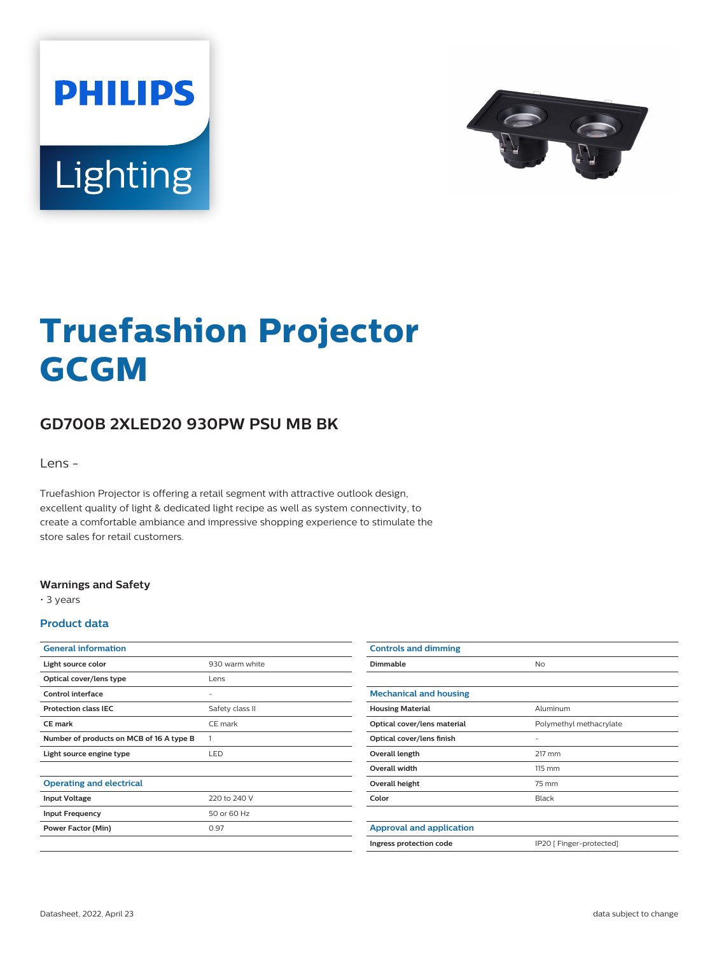



# **Truefashion Projector GCGM**

## **GD700B 2XLED20 930PW PSU MB BK**

Lens -

Truefashion Projector is offering a retail segment with attractive outlook design, excellent quality of light & dedicated light recipe as well as system connectivity, to create a comfortable ambiance and impressive shopping experience to stimulate the store sales for retail customers.

#### **Warnings and Safety**

• 3 years

#### **Product data**

| <b>General information</b>               |                 |
|------------------------------------------|-----------------|
| Light source color                       | 930 warm white  |
| Optical cover/lens type                  | Lens            |
| Control interface                        |                 |
| <b>Protection class IEC</b>              | Safety class II |
| <b>CE</b> mark                           | CE mark         |
| Number of products on MCB of 16 A type B | 1               |
| Light source engine type                 | LED             |
|                                          |                 |
| <b>Operating and electrical</b>          |                 |
| <b>Input Voltage</b>                     | 220 to 240 V    |
| <b>Input Frequency</b>                   | 50 or 60 Hz     |
| <b>Power Factor (Min)</b>                | 0.97            |
|                                          |                 |

| <b>Controls and dimming</b>     |                          |
|---------------------------------|--------------------------|
| Dimmable                        | <b>No</b>                |
|                                 |                          |
| <b>Mechanical and housing</b>   |                          |
| <b>Housing Material</b>         | Aluminum                 |
| Optical cover/lens material     | Polymethyl methacrylate  |
| Optical cover/lens finish       |                          |
| Overall length                  | 217 mm                   |
| Overall width                   | 115 mm                   |
| Overall height                  | 75 mm                    |
| Color                           | Black                    |
|                                 |                          |
| <b>Approval and application</b> |                          |
| Ingress protection code         | IP20 [ Finger-protected] |